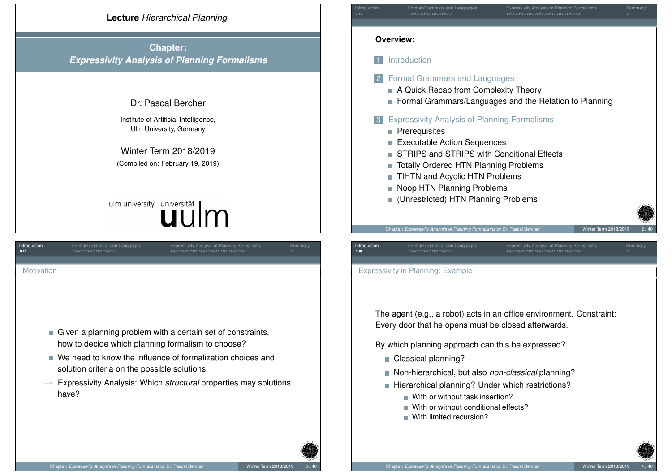# **Lecture** *Hierarchical Planning*

**Chapter:** *Expressivity Analysis of Planning Formalisms*

# Dr. Pascal Bercher

Institute of Artificial Intelligence, Ulm University, Germany

Winter Term 2018/2019 (Compiled on: February 19, 2019)

# ulm university universität | m

<span id="page-0-0"></span>

| Introduction<br>$\bullet$ o                                                                                      | Formal Grammars and Languages<br>0000000000000 | <b>Expressivity Analysis of Planning Formalisms</b><br>000000000000000000000 | Summary<br>$\circ$ |  |  |  |
|------------------------------------------------------------------------------------------------------------------|------------------------------------------------|------------------------------------------------------------------------------|--------------------|--|--|--|
|                                                                                                                  |                                                |                                                                              |                    |  |  |  |
| Motivation                                                                                                       |                                                |                                                                              |                    |  |  |  |
| Given a planning problem with a certain set of constraints,<br>how to decide which planning formalism to choose? |                                                |                                                                              |                    |  |  |  |
|                                                                                                                  | solution criteria on the possible solutions.   | $\blacksquare$ We need to know the influence of formalization choices and    |                    |  |  |  |
|                                                                                                                  | have?                                          | Expressivity Analysis: Which <i>structural</i> properties may solutions      |                    |  |  |  |
|                                                                                                                  |                                                |                                                                              |                    |  |  |  |

| Introduction<br>$\circ$                                                                                                                                                          | Expressivity Analysis of Planning Formalisms<br>Formal Grammars and Languages<br>Summary<br>000000000000<br>000000000000000000000<br>$\circ$                                                                                                                                                                     |  |  |  |  |
|----------------------------------------------------------------------------------------------------------------------------------------------------------------------------------|------------------------------------------------------------------------------------------------------------------------------------------------------------------------------------------------------------------------------------------------------------------------------------------------------------------|--|--|--|--|
| <b>Overview:</b>                                                                                                                                                                 |                                                                                                                                                                                                                                                                                                                  |  |  |  |  |
|                                                                                                                                                                                  | Introduction                                                                                                                                                                                                                                                                                                     |  |  |  |  |
| $\overline{2}$                                                                                                                                                                   | <b>Formal Grammars and Languages</b><br>A Quick Recap from Complexity Theory<br>Formal Grammars/Languages and the Relation to Planning                                                                                                                                                                           |  |  |  |  |
|                                                                                                                                                                                  | 3 Expressivity Analysis of Planning Formalisms<br>Prerequisites<br>Executable Action Sequences<br>STRIPS and STRIPS with Conditional Effects<br><b>Totally Ordered HTN Planning Problems</b><br>П<br><b>TIHTN and Acyclic HTN Problems</b><br>Noop HTN Planning Problems<br>(Unrestricted) HTN Planning Problems |  |  |  |  |
| Introduction<br>$\circ\bullet$                                                                                                                                                   | Chapter: Expressivity Analysis of Planning Formalisms by Dr. Pascal Bercher<br>Winter Term 2018/2019<br>2/40<br>Expressivity Analysis of Planning Formalisms<br>Formal Grammars and Languages<br>Summary<br>000000000000000000000<br>0000000000000<br>$\circ$                                                    |  |  |  |  |
|                                                                                                                                                                                  | <b>Expressivity in Planning: Example</b>                                                                                                                                                                                                                                                                         |  |  |  |  |
| The agent (e.g., a robot) acts in an office environment. Constraint:<br>Every door that he opens must be closed afterwards.<br>By which planning approach can this be expressed? |                                                                                                                                                                                                                                                                                                                  |  |  |  |  |
| H                                                                                                                                                                                | Classical planning?                                                                                                                                                                                                                                                                                              |  |  |  |  |
|                                                                                                                                                                                  | Non-hierarchical, but also non-classical planning?<br>Hierarchical planning? Under which restrictions?                                                                                                                                                                                                           |  |  |  |  |

- With or without task insertion?
- With or without conditional effects?
- With limited recursion?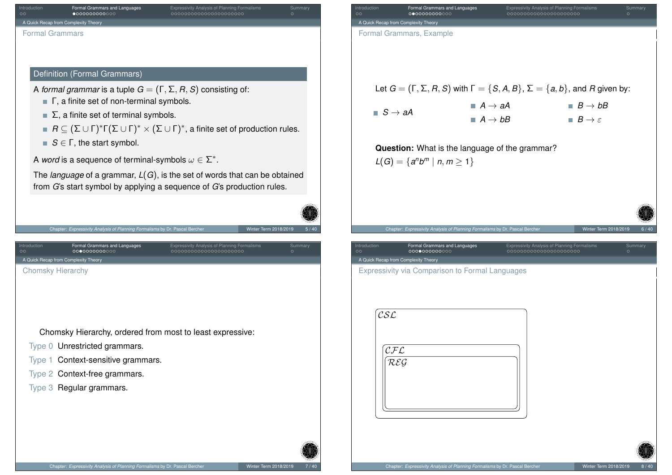<span id="page-1-0"></span>

| Introduction<br>Formal Grammars and Languages<br><b>Expressivity Analysis of Planning Formalisms</b><br>Summary<br>$\bullet$ 000000000000<br>000000000000000000000<br>$\circ$<br>A Quick Recap from Complexity Theory<br><b>Formal Grammars</b>                                                                                                                                                                                                                                            |
|--------------------------------------------------------------------------------------------------------------------------------------------------------------------------------------------------------------------------------------------------------------------------------------------------------------------------------------------------------------------------------------------------------------------------------------------------------------------------------------------|
|                                                                                                                                                                                                                                                                                                                                                                                                                                                                                            |
|                                                                                                                                                                                                                                                                                                                                                                                                                                                                                            |
|                                                                                                                                                                                                                                                                                                                                                                                                                                                                                            |
|                                                                                                                                                                                                                                                                                                                                                                                                                                                                                            |
| Definition (Formal Grammars)                                                                                                                                                                                                                                                                                                                                                                                                                                                               |
| A formal grammar is a tuple $G = (\Gamma, \Sigma, R, S)$ consisting of:                                                                                                                                                                                                                                                                                                                                                                                                                    |
| $\blacksquare$ $\blacksquare$ $\blacksquare$ $\blacksquare$ $\blacksquare$ $\blacksquare$ $\blacksquare$ $\blacksquare$ $\blacksquare$ $\blacksquare$ $\blacksquare$ $\blacksquare$ $\blacksquare$ $\blacksquare$ $\blacksquare$ $\blacksquare$ $\blacksquare$ $\blacksquare$ $\blacksquare$ $\blacksquare$ $\blacksquare$ $\blacksquare$ $\blacksquare$ $\blacksquare$ $\blacksquare$ $\blacksquare$ $\blacksquare$ $\blacksquare$ $\blacksquare$ $\blacksquare$ $\blacksquare$ $\blacks$ |
| $\blacksquare$ $\Sigma$ , a finite set of terminal symbols.                                                                                                                                                                                                                                                                                                                                                                                                                                |
| <b>■</b> $R \subseteq (\Sigma \cup \Gamma)^* \Gamma(\Sigma \cup \Gamma)^* \times (\Sigma \cup \Gamma)^*$ , a finite set of production rules.                                                                                                                                                                                                                                                                                                                                               |
| $S \in \Gamma$ , the start symbol.                                                                                                                                                                                                                                                                                                                                                                                                                                                         |
| A word is a sequence of terminal-symbols $\omega \in \Sigma^*$ .                                                                                                                                                                                                                                                                                                                                                                                                                           |
| The <i>language</i> of a grammar, $L(G)$ , is the set of words that can be obtained                                                                                                                                                                                                                                                                                                                                                                                                        |
| from G's start symbol by applying a sequence of G's production rules.                                                                                                                                                                                                                                                                                                                                                                                                                      |
|                                                                                                                                                                                                                                                                                                                                                                                                                                                                                            |
|                                                                                                                                                                                                                                                                                                                                                                                                                                                                                            |
| Winter Term 2018/2019<br>5 / 40                                                                                                                                                                                                                                                                                                                                                                                                                                                            |
| Chapter: Expressivity Analysis of Planning Formalisms by Dr. Pascal Bercher                                                                                                                                                                                                                                                                                                                                                                                                                |
| Introduction<br>Formal Grammars and Languages<br><b>Expressivity Analysis of Planning Formalisms</b><br>Summary<br>000000000000<br>000000000000000000000<br>$\circ$                                                                                                                                                                                                                                                                                                                        |
| A Quick Recap from Complexity Theory<br><b>Chomsky Hierarchy</b>                                                                                                                                                                                                                                                                                                                                                                                                                           |
|                                                                                                                                                                                                                                                                                                                                                                                                                                                                                            |
|                                                                                                                                                                                                                                                                                                                                                                                                                                                                                            |
|                                                                                                                                                                                                                                                                                                                                                                                                                                                                                            |
| Chomsky Hierarchy, ordered from most to least expressive:                                                                                                                                                                                                                                                                                                                                                                                                                                  |
| Type 0 Unrestricted grammars.                                                                                                                                                                                                                                                                                                                                                                                                                                                              |
| Type 1 Context-sensitive grammars.                                                                                                                                                                                                                                                                                                                                                                                                                                                         |
| Type 2 Context-free grammars.                                                                                                                                                                                                                                                                                                                                                                                                                                                              |
| Type 3 Regular grammars.                                                                                                                                                                                                                                                                                                                                                                                                                                                                   |
|                                                                                                                                                                                                                                                                                                                                                                                                                                                                                            |

| Formal Grammars, Example                                        |                                               |                                                                             |                       |                                                                                                   |                       |
|-----------------------------------------------------------------|-----------------------------------------------|-----------------------------------------------------------------------------|-----------------------|---------------------------------------------------------------------------------------------------|-----------------------|
|                                                                 |                                               |                                                                             |                       |                                                                                                   |                       |
|                                                                 |                                               |                                                                             |                       | Let $G = (\Gamma, \Sigma, R, S)$ with $\Gamma = \{S, A, B\}, \Sigma = \{a, b\}$ , and R given by: |                       |
| $\blacksquare$ S $\rightarrow$ aA                               |                                               | $\blacksquare$ A $\rightarrow$ aA                                           |                       | $B \rightarrow bB$                                                                                |                       |
|                                                                 |                                               | $A \rightarrow bB$                                                          |                       | $B \to \varepsilon$                                                                               |                       |
|                                                                 |                                               | Question: What is the language of the grammar?                              |                       |                                                                                                   |                       |
|                                                                 | $L(G) = \{a^n b^m   n, m \ge 1\}$             |                                                                             |                       |                                                                                                   |                       |
|                                                                 |                                               |                                                                             |                       |                                                                                                   |                       |
|                                                                 |                                               |                                                                             |                       |                                                                                                   |                       |
|                                                                 |                                               |                                                                             |                       |                                                                                                   |                       |
|                                                                 |                                               |                                                                             |                       |                                                                                                   |                       |
|                                                                 |                                               | Chapter: Expressivity Analysis of Planning Formalisms by Dr. Pascal Bercher |                       |                                                                                                   | Winter Term 2018/2019 |
| Introduction<br>$\circ$<br>A Quick Recap from Complexity Theory | Formal Grammars and Languages<br>000000000000 |                                                                             | 000000000000000000000 | <b>Expressivity Analysis of Planning Formalisms</b>                                               | $\circ$               |
|                                                                 |                                               | <b>Expressivity via Comparison to Formal Languages</b>                      |                       |                                                                                                   |                       |
|                                                                 |                                               |                                                                             |                       |                                                                                                   |                       |
| $\mathcal{CSL}$                                                 |                                               |                                                                             |                       |                                                                                                   |                       |
|                                                                 |                                               |                                                                             |                       |                                                                                                   |                       |
| CFL                                                             |                                               |                                                                             |                       |                                                                                                   | Summary               |
| REG                                                             |                                               |                                                                             |                       |                                                                                                   |                       |
|                                                                 |                                               |                                                                             |                       |                                                                                                   |                       |

蛋区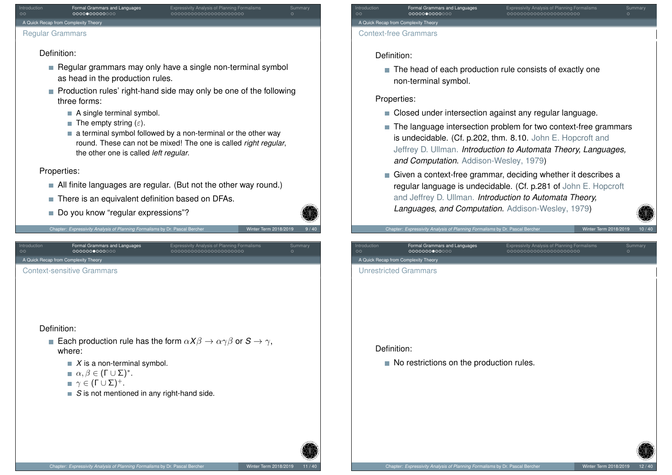# Introduction **Formal Grammars and Languages** Expressivity Analysis of Planning Formalisms Summary A Quick Recap from Complexity Theory

#### Regular Grammars

#### Definition:

- $\blacksquare$  Regular grammars may only have a single non-terminal symbol as head in the production rules.
- $\blacksquare$  Production rules' right-hand side may only be one of the following three forms:
	- A single terminal symbol.
	- The empty string  $(\varepsilon)$ .
	- $\blacksquare$  a terminal symbol followed by a non-terminal or the other way round. These can not be mixed! The one is called *right regular*, the other one is called *left regular*.

## Properties:

- All finite languages are regular. (But not the other way round.)
- There is an equivalent definition based on DFAs.
- Do you know "regular expressions"?



Chapter: *Expressivity Analysis of Planning Formalisms* by Dr. Pascal Bercher Winter Winter Term 2018/2019

Introduction Formal Grammars and Languages Expressivity Analysis of Planning Formalisms Summary [A](#page-0-0) Quick Reca[p from Complexity Theory](#page-1-0)

<span id="page-2-0"></span>[Context-sensitive](#page-1-0) [Gr](#page-3-0)[am](#page-4-0)mars

#### Definition:

- **Each production rule has the form**  $\alpha X\beta \rightarrow \alpha \gamma \beta$  **or**  $S \rightarrow \gamma$ **.** where:
	- $\blacksquare$  *X* is a non-terminal symbol.
	- $\alpha, \beta \in (\Gamma \cup \Sigma)^*$ .
	- $\blacksquare$   $\gamma \in (\Gamma \cup \Sigma)^+$ .
	- *S* is not mentioned in any right-hand side.

# Introduction Formal Grammars and Languages Expressivity Analysis of Planning Formalisms Summary A Quick Recap from Complexity Theory

#### Context-free Grammars

#### Definition:

■ The head of each production rule consists of exactly one non-terminal symbol.

# Properties:

- Closed under intersection against any regular language.
- The language intersection problem for two context-free grammars is undecidable. (Cf. p.202, thm. 8.10. John E. Hopcroft and Jeffrey D. Ullman. *Introduction to Automata Theory, Languages, and Computation*. Addison-Wesley, 1979)
- Given a context-free grammar, deciding whether it describes a regular language is undecidable. (Cf. p.281 of John E. Hopcroft and Jeffrey D. Ullman. *Introduction to Automata Theory, Languages, and Computation*. Addison-Wesley, 1979)

#### Chapter: *Expressivity Analysis of Planning Formalisms* by Dr. Pascal Bercher Winter Winter Term 2018/2019

Introduction Formal Grammars and Languages Expressivity Analysis of Planning Formalisms Summary A Quick Recap from Complexity Theor Unrestricted Grammars

#### Definition:

No restrictions on the production rules.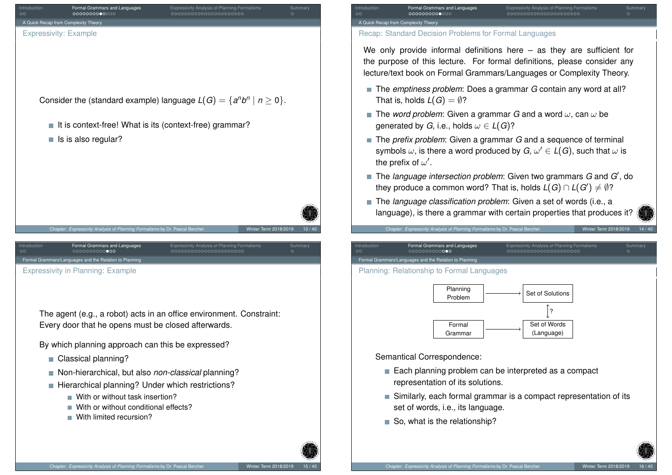<span id="page-3-0"></span>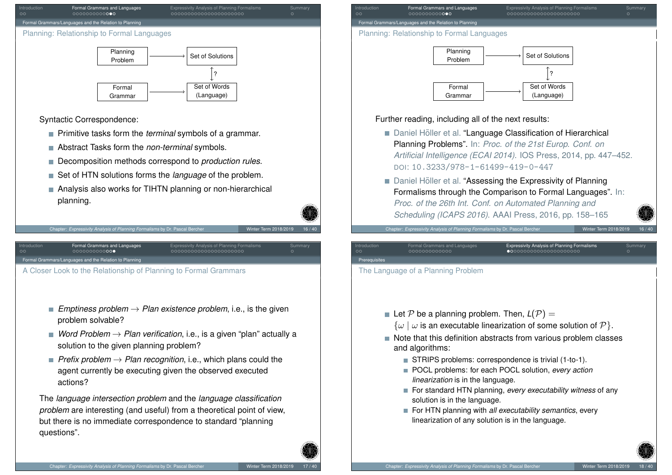

<span id="page-4-0"></span>[Fo](#page-0-0)rmal Gram[mars/Languages and the Relation to](#page-1-0) Planning

[A Closer Look to the Relation](#page-3-0)ship of [P](#page-4-0)[lann](#page-5-0)[ing](#page-6-0) [to F](#page-7-0)[orm](#page-8-0)[al G](#page-9-0)[r](#page-10-0)ammars

- *Emptiness problem* → *Plan existence problem*, i.e., is the given problem solvable?
- *Word Problem*  $\rightarrow$  *Plan verification*, i.e., is a given "plan" actually a solution to the given planning problem?
- *Prefix problem*  $\rightarrow$  *Plan recognition*, i.e., which plans could the agent currently be executing given the observed executed actions?

The *language intersection problem* and the *language classification problem* [are interesting \(and useful\) from a](https://doi.org/10.3233/978-1-61499-419-0-447) theoretical point of view, but there is no immediate correspondence to standard "planning questions".



#### Further reading, including all of the next results:

- Daniel Höller et al. "Language Classification of Hierarchical Planning Problems". In: *Proc. of the 21st Europ. Conf. on Artificial Intelligence (ECAI 2014)*. IOS Press, 2014, pp. 447–452. DOI: 10.3233/978-1-61499-419-0-447
- Daniel Höller et al. "Assessing the Expressivity of Planning Formalisms through the Comparison to Formal Languages". In: *Proc. of the 26th Int. Conf. on Automated Planning and Scheduling (ICAPS 2016)*. AAAI Press, 2016, pp. 158–165

Chapter: *Expressivity Analysis of Planning Formalisms* by Dr. Pascal Bercher Winter Term 2018/2019

| Introduction<br>$\circ$ | Formal Grammars and Languages<br>0000000000000 | <b>Expressivity Analysis of Planning Formalisms</b><br>$\bullet$ 0000000000000000000000 | Summary |
|-------------------------|------------------------------------------------|-----------------------------------------------------------------------------------------|---------|
| Prerequisites           |                                                |                                                                                         |         |
|                         |                                                |                                                                                         |         |

The Language of a Planning Problem

- Let P be a planning problem. Then,  $L(\mathcal{P}) =$ 
	- $\{\omega \mid \omega \text{ is an executable linearization of some solution of } \mathcal{P}\}.$
- Note that this definition abstracts from various problem classes and algorithms:
	- STRIPS problems: correspondence is trivial (1-to-1).
	- POCL problems: for each POCL solution, *every action linearization* is in the language.
	- For standard HTN planning, *every executability witness* of any solution is in the language.
	- For HTN planning with *all executability semantics*, every linearization of any solution is in the language.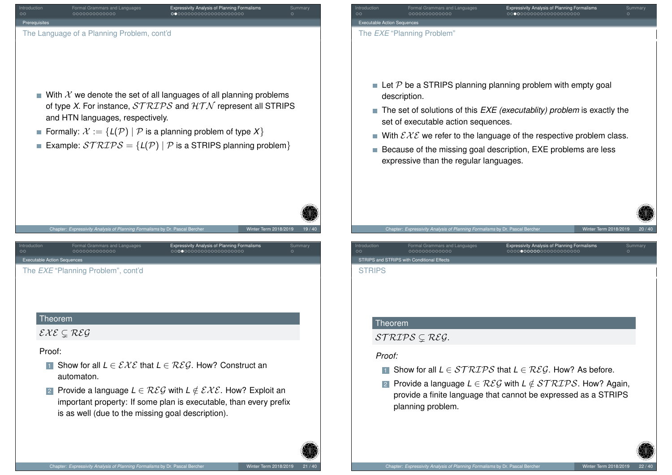<span id="page-5-0"></span>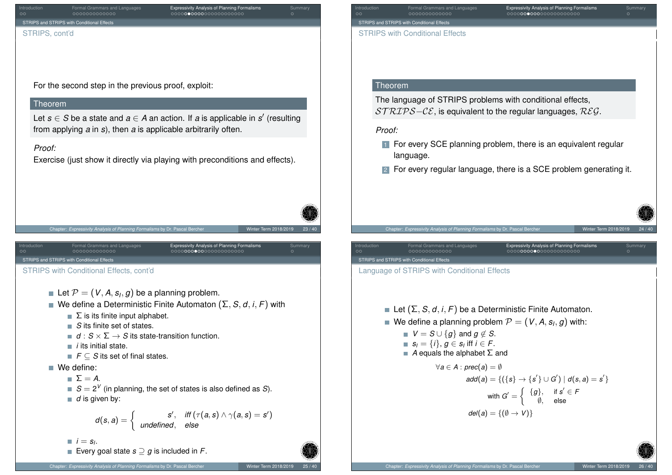<span id="page-6-0"></span>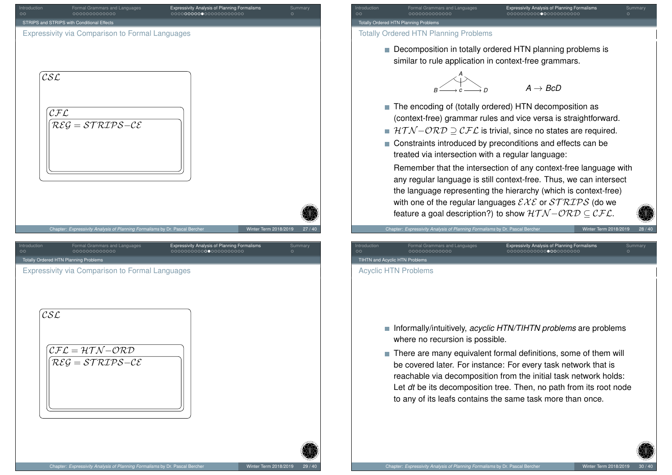<span id="page-7-0"></span>

# Introduction Formal Grammars and Languages Expressivity Analysis of Planning Formalisms Summary Totally Ordered HTN Planning Problems

#### Totally Ordered HTN Planning Problems

Decomposition in totally ordered HTN planning problems is similar to rule application in context-free grammars.

$$
B \xrightarrow{A} C \xrightarrow{A} D
$$
 
$$
A \rightarrow BCD
$$

- The encoding of (totally ordered) HTN decomposition as (context-free) grammar rules and vice versa is straightforward.
- $HTN-\mathcal{ORD} \supset \mathcal{CFL}$  is trivial, since no states are required.
- Constraints introduced by preconditions and effects can be treated via intersection with a regular language:

Remember that the intersection of any context-free language with any regular language is still context-free. Thus, we can intersect the language representing the hierarchy (which is context-free) with one of the regular languages  $\mathcal{E} \mathcal{X} \mathcal{E}$  or  $\mathcal{STRLPS}$  (do we feature a goal description?) to show  $HTN-\mathcal{ORD} \subseteq \mathcal{CFL}$ .

Chapter: *Expressivity Analysis of Planning Formalisms* by Dr. Pascal Bercher Winter Term 2018/2019

Introduction Formal Grammars and Languages **Expressivity Analysis of Planning Formalisms**<br>
Summary Summary Summary Summary Summary Summary Summary Summary Summary Summary Summary Summary Summary Summar<br>
Summary Summary Sum TIHTN and Acyclic HTN Problems Acyclic HTN Problems

- Informally/intuitively, *acyclic HTN/TIHTN problems* are problems where no recursion is possible.
- There are many equivalent formal definitions, some of them will be covered later. For instance: For every task network that is reachable via decomposition from the initial task network holds: Let *dt* be its decomposition tree. Then, no path from its root node to any of its leafs contains the same task more than once.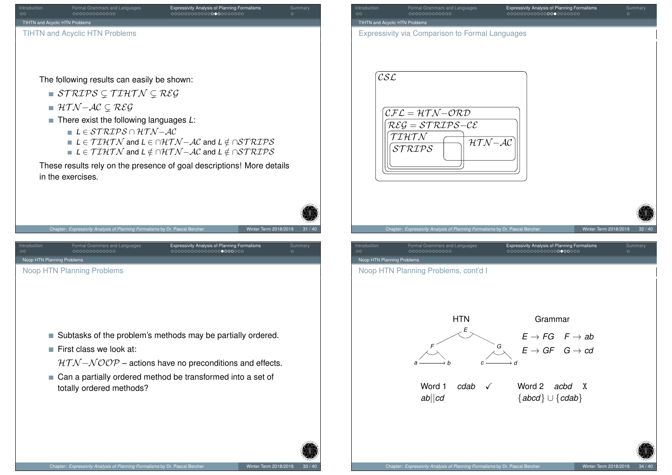<span id="page-8-0"></span>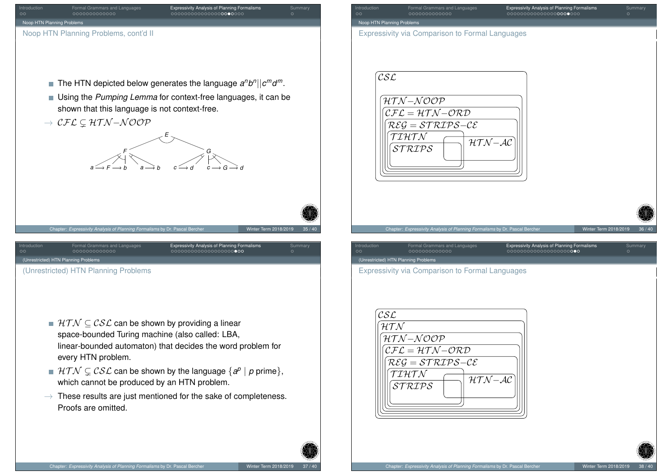<span id="page-9-0"></span>